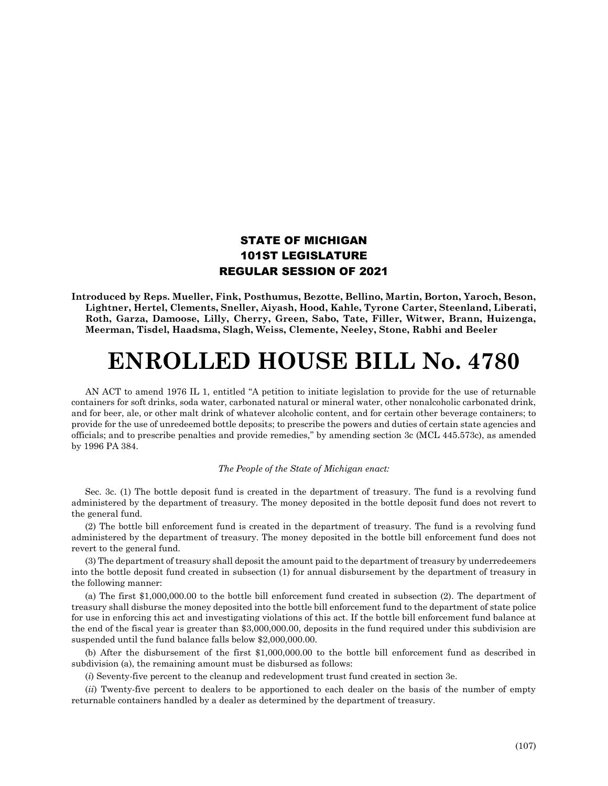## STATE OF MICHIGAN 101ST LEGISLATURE REGULAR SESSION OF 2021

**Introduced by Reps. Mueller, Fink, Posthumus, Bezotte, Bellino, Martin, Borton, Yaroch, Beson, Lightner, Hertel, Clements, Sneller, Aiyash, Hood, Kahle, Tyrone Carter, Steenland, Liberati, Roth, Garza, Damoose, Lilly, Cherry, Green, Sabo, Tate, Filler, Witwer, Brann, Huizenga, Meerman, Tisdel, Haadsma, Slagh, Weiss, Clemente, Neeley, Stone, Rabhi and Beeler**

## **ENROLLED HOUSE BILL No. 4780**

AN ACT to amend 1976 IL 1, entitled "A petition to initiate legislation to provide for the use of returnable containers for soft drinks, soda water, carbonated natural or mineral water, other nonalcoholic carbonated drink, and for beer, ale, or other malt drink of whatever alcoholic content, and for certain other beverage containers; to provide for the use of unredeemed bottle deposits; to prescribe the powers and duties of certain state agencies and officials; and to prescribe penalties and provide remedies," by amending section 3c (MCL 445.573c), as amended by 1996 PA 384.

## *The People of the State of Michigan enact:*

Sec. 3c. (1) The bottle deposit fund is created in the department of treasury. The fund is a revolving fund administered by the department of treasury. The money deposited in the bottle deposit fund does not revert to the general fund.

(2) The bottle bill enforcement fund is created in the department of treasury. The fund is a revolving fund administered by the department of treasury. The money deposited in the bottle bill enforcement fund does not revert to the general fund.

(3) The department of treasury shall deposit the amount paid to the department of treasury by underredeemers into the bottle deposit fund created in subsection (1) for annual disbursement by the department of treasury in the following manner:

(a) The first \$1,000,000.00 to the bottle bill enforcement fund created in subsection (2). The department of treasury shall disburse the money deposited into the bottle bill enforcement fund to the department of state police for use in enforcing this act and investigating violations of this act. If the bottle bill enforcement fund balance at the end of the fiscal year is greater than \$3,000,000.00, deposits in the fund required under this subdivision are suspended until the fund balance falls below \$2,000,000.00.

(b) After the disbursement of the first \$1,000,000.00 to the bottle bill enforcement fund as described in subdivision (a), the remaining amount must be disbursed as follows:

(*i*) Seventy-five percent to the cleanup and redevelopment trust fund created in section 3e.

(*ii*) Twenty-five percent to dealers to be apportioned to each dealer on the basis of the number of empty returnable containers handled by a dealer as determined by the department of treasury.